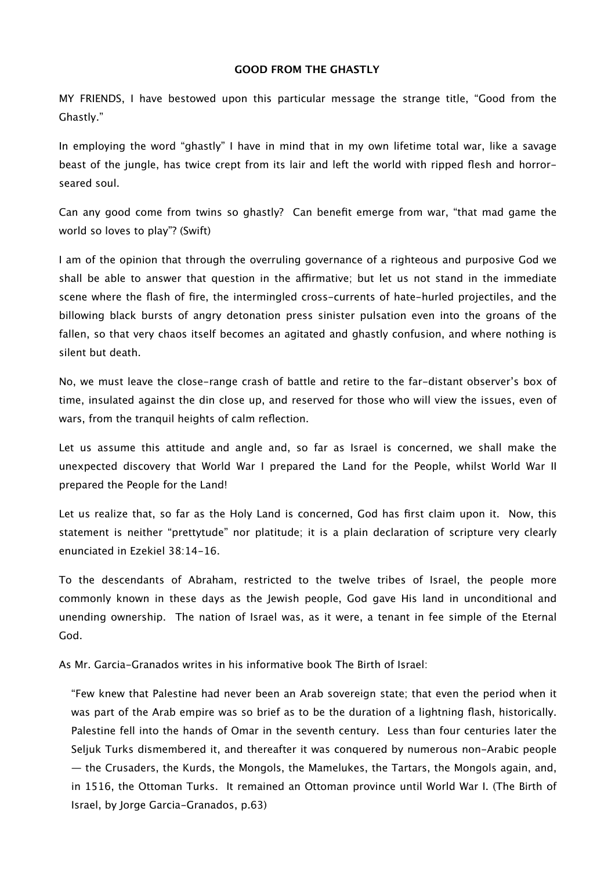## **GOOD FROM THE GHASTLY**

MY FRIENDS, I have bestowed upon this particular message the strange title, "Good from the Ghastly."

In employing the word "ghastly" I have in mind that in my own lifetime total war, like a savage beast of the jungle, has twice crept from its lair and left the world with ripped flesh and horrorseared soul.

Can any good come from twins so ghastly? Can benefit emerge from war, "that mad game the world so loves to play"? (Swift)

I am of the opinion that through the overruling governance of a righteous and purposive God we shall be able to answer that question in the affirmative; but let us not stand in the immediate scene where the flash of fire, the intermingled cross-currents of hate-hurled projectiles, and the billowing black bursts of angry detonation press sinister pulsation even into the groans of the fallen, so that very chaos itself becomes an agitated and ghastly confusion, and where nothing is silent but death.

No, we must leave the close-range crash of battle and retire to the far-distant observer's box of time, insulated against the din close up, and reserved for those who will view the issues, even of wars, from the tranquil heights of calm reflection.

Let us assume this attitude and angle and, so far as Israel is concerned, we shall make the unexpected discovery that World War I prepared the Land for the People, whilst World War II prepared the People for the Land!

Let us realize that, so far as the Holy Land is concerned, God has first claim upon it. Now, this statement is neither "prettytude" nor platitude; it is a plain declaration of scripture very clearly enunciated in Ezekiel 38:14-16.

To the descendants of Abraham, restricted to the twelve tribes of Israel, the people more commonly known in these days as the Jewish people, God gave His land in unconditional and unending ownership. The nation of Israel was, as it were, a tenant in fee simple of the Eternal God.

As Mr. Garcia-Granados writes in his informative book The Birth of Israel:

"Few knew that Palestine had never been an Arab sovereign state; that even the period when it was part of the Arab empire was so brief as to be the duration of a lightning flash, historically. Palestine fell into the hands of Omar in the seventh century. Less than four centuries later the Seljuk Turks dismembered it, and thereafter it was conquered by numerous non-Arabic people  $-$  the Crusaders, the Kurds, the Mongols, the Mamelukes, the Tartars, the Mongols again, and, in 1516, the Ottoman Turks. It remained an Ottoman province until World War I. (The Birth of Israel, by Jorge Garcia-Granados, p.63)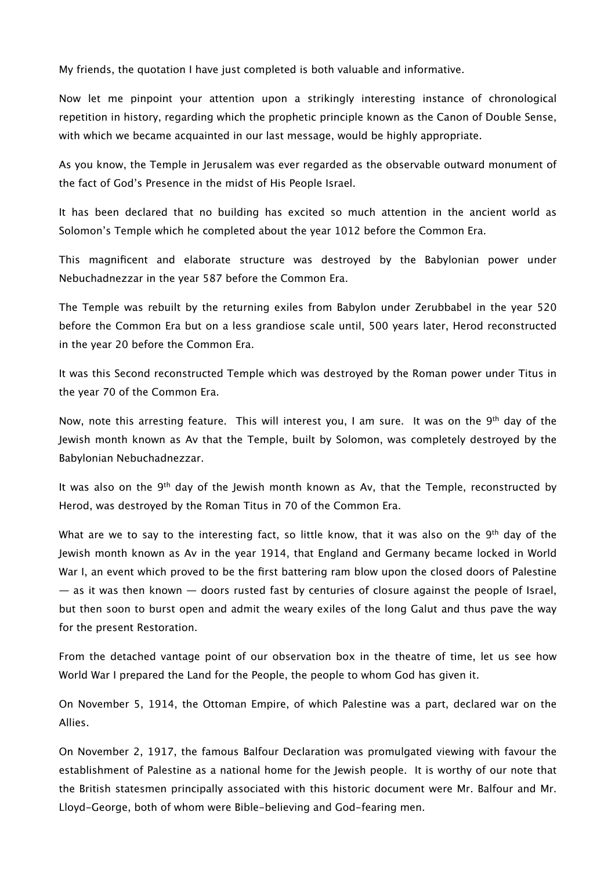My friends, the quotation I have just completed is both valuable and informative.

Now let me pinpoint your attention upon a strikingly interesting instance of chronological repetition in history, regarding which the prophetic principle known as the Canon of Double Sense, with which we became acquainted in our last message, would be highly appropriate.

As you know, the Temple in Jerusalem was ever regarded as the observable outward monument of the fact of God's Presence in the midst of His People Israel.

It has been declared that no building has excited so much attention in the ancient world as Solomon's Temple which he completed about the year 1012 before the Common Era.

This magnificent and elaborate structure was destroyed by the Babylonian power under Nebuchadnezzar in the year 587 before the Common Era.

The Temple was rebuilt by the returning exiles from Babylon under Zerubbabel in the year 520 before the Common Era but on a less grandiose scale until, 500 years later, Herod reconstructed in the year 20 before the Common Era.

It was this Second reconstructed Temple which was destroyed by the Roman power under Titus in the year 70 of the Common Era.

Now, note this arresting feature. This will interest you, I am sure. It was on the 9<sup>th</sup> day of the Jewish month known as Av that the Temple, built by Solomon, was completely destroyed by the Babylonian Nebuchadnezzar.

It was also on the 9<sup>th</sup> day of the Jewish month known as Av, that the Temple, reconstructed by Herod, was destroyed by the Roman Titus in 70 of the Common Era.

What are we to say to the interesting fact, so little know, that it was also on the 9<sup>th</sup> day of the Jewish month known as Av in the year 1914, that England and Germany became locked in World War I, an event which proved to be the first battering ram blow upon the closed doors of Palestine  $-$  as it was then known  $-$  doors rusted fast by centuries of closure against the people of Israel, but then soon to burst open and admit the weary exiles of the long Galut and thus pave the way for the present Restoration.

From the detached vantage point of our observation box in the theatre of time, let us see how World War I prepared the Land for the People, the people to whom God has given it.

On November 5, 1914, the Ottoman Empire, of which Palestine was a part, declared war on the Allies.

On November 2, 1917, the famous Balfour Declaration was promulgated viewing with favour the establishment of Palestine as a national home for the Jewish people. It is worthy of our note that the British statesmen principally associated with this historic document were Mr. Balfour and Mr. Lloyd-George, both of whom were Bible-believing and God-fearing men.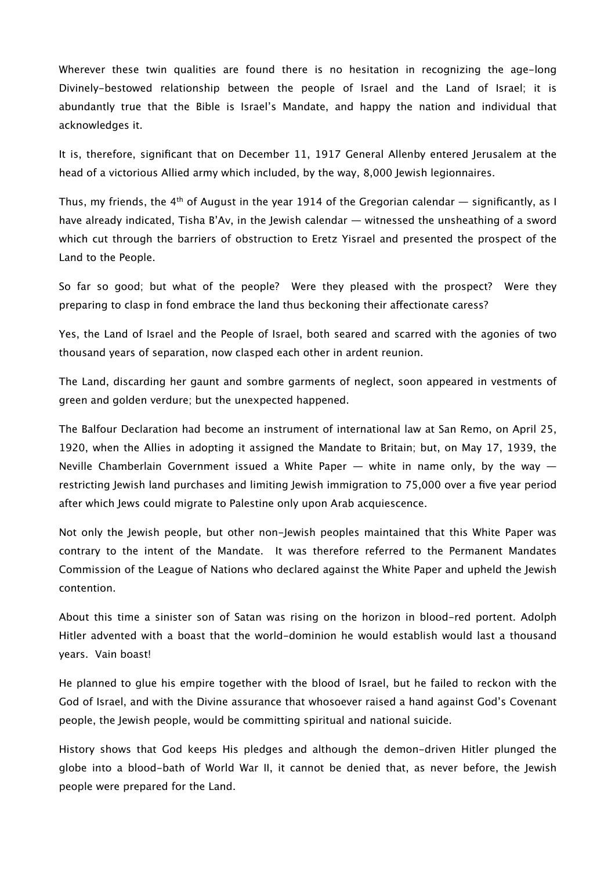Wherever these twin qualities are found there is no hesitation in recognizing the age-long Divinely-bestowed relationship between the people of Israel and the Land of Israel; it is abundantly true that the Bible is Israel's Mandate, and happy the nation and individual that acknowledges it.

It is, therefore, significant that on December 11, 1917 General Allenby entered Jerusalem at the head of a victorious Allied army which included, by the way, 8,000 Jewish legionnaires.

Thus, my friends, the 4<sup>th</sup> of August in the year 1914 of the Gregorian calendar  $-$  significantly, as I have already indicated, Tisha B'Av, in the Jewish calendar — witnessed the unsheathing of a sword which cut through the barriers of obstruction to Eretz Yisrael and presented the prospect of the Land to the People.

So far so good; but what of the people? Were they pleased with the prospect? Were they preparing to clasp in fond embrace the land thus beckoning their afectionate caress?

Yes, the Land of Israel and the People of Israel, both seared and scarred with the agonies of two thousand years of separation, now clasped each other in ardent reunion.

The Land, discarding her gaunt and sombre garments of neglect, soon appeared in vestments of green and golden verdure; but the unexpected happened.

The Balfour Declaration had become an instrument of international law at San Remo, on April 25, 1920, when the Allies in adopting it assigned the Mandate to Britain; but, on May 17, 1939, the Neville Chamberlain Government issued a White Paper  $-$  white in name only, by the way  $$ restricting Jewish land purchases and limiting Jewish immigration to 75,000 over a five year period after which Jews could migrate to Palestine only upon Arab acquiescence.

Not only the Jewish people, but other non-Jewish peoples maintained that this White Paper was contrary to the intent of the Mandate. It was therefore referred to the Permanent Mandates Commission of the League of Nations who declared against the White Paper and upheld the Jewish contention.

About this time a sinister son of Satan was rising on the horizon in blood-red portent. Adolph Hitler advented with a boast that the world-dominion he would establish would last a thousand years. Vain boast!

He planned to glue his empire together with the blood of Israel, but he failed to reckon with the God of Israel, and with the Divine assurance that whosoever raised a hand against God's Covenant people, the Jewish people, would be committing spiritual and national suicide.

History shows that God keeps His pledges and although the demon-driven Hitler plunged the globe into a blood-bath of World War II, it cannot be denied that, as never before, the Jewish people were prepared for the Land.